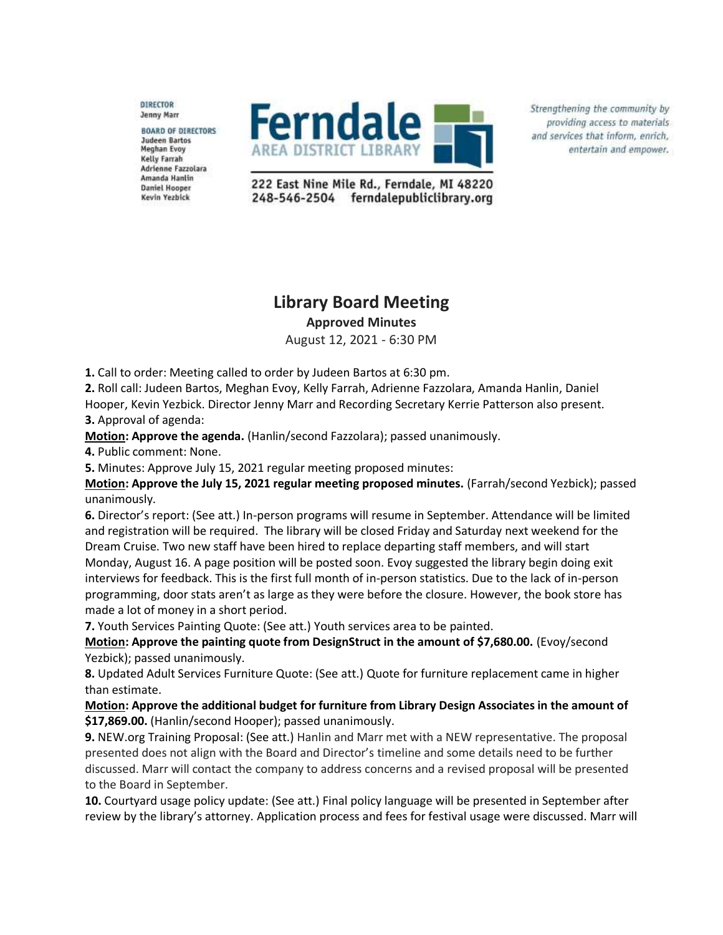DIRECTOR **Jenny Marr** 

**BOARD OF DIRECTORS Judeen Bartos Meghan Evoy Kelly Farrah** Adrienne Fazzolara Amanda Hanlin **Daniel Hooper** Kevin Yezbick



Strengthening the community by providing access to materials and services that inform, enrich, entertain and empower.

222 East Nine Mile Rd., Ferndale, MI 48220 248-546-2504 ferndalepubliclibrary.org

## **Library Board Meeting Approved Minutes**

August 12, 2021 - 6:30 PM

**1.** Call to order: Meeting called to order by Judeen Bartos at 6:30 pm.

**2.** Roll call: Judeen Bartos, Meghan Evoy, Kelly Farrah, Adrienne Fazzolara, Amanda Hanlin, Daniel Hooper, Kevin Yezbick. Director Jenny Marr and Recording Secretary Kerrie Patterson also present. **3.** Approval of agenda:

**Motion: Approve the agenda.** (Hanlin/second Fazzolara); passed unanimously.

**4.** Public comment: None.

**5.** Minutes: Approve July 15, 2021 regular meeting proposed minutes:

**Motion: Approve the July 15, 2021 regular meeting proposed minutes.** (Farrah/second Yezbick); passed unanimously.

**6.** Director's report: (See att.) In-person programs will resume in September. Attendance will be limited and registration will be required. The library will be closed Friday and Saturday next weekend for the Dream Cruise. Two new staff have been hired to replace departing staff members, and will start Monday, August 16. A page position will be posted soon. Evoy suggested the library begin doing exit interviews for feedback. This is the first full month of in-person statistics. Due to the lack of in-person programming, door stats aren't as large as they were before the closure. However, the book store has made a lot of money in a short period.

**7.** Youth Services Painting Quote: (See att.) Youth services area to be painted.

**Motion: Approve the painting quote from DesignStruct in the amount of \$7,680.00.** (Evoy/second Yezbick); passed unanimously.

**8.** Updated Adult Services Furniture Quote: (See att.) Quote for furniture replacement came in higher than estimate.

**Motion: Approve the additional budget for furniture from Library Design Associates in the amount of \$17,869.00.** (Hanlin/second Hooper); passed unanimously.

**9.** NEW.org Training Proposal: (See att.) Hanlin and Marr met with a NEW representative. The proposal presented does not align with the Board and Director's timeline and some details need to be further discussed. Marr will contact the company to address concerns and a revised proposal will be presented to the Board in September.

**10.** Courtyard usage policy update: (See att.) Final policy language will be presented in September after review by the library's attorney. Application process and fees for festival usage were discussed. Marr will